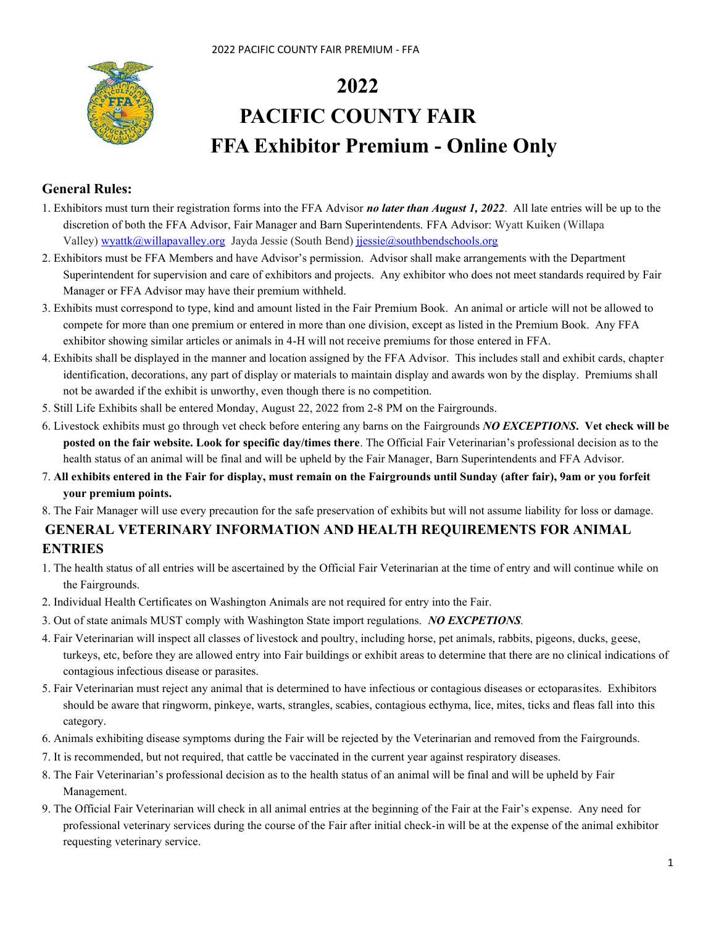

# **2022 PACIFIC COUNTY FAIR FFA Exhibitor Premium - Online Only**

## **General Rules:**

- 1. Exhibitors must turn their registration forms into the FFA Advisor *no later than August 1, 2022*. All late entries will be up to the discretion of both the FFA Advisor, Fair Manager and Barn Superintendents. FFA Advisor: Wyatt Kuiken (Willapa Valley) [wyattk@willapavalley.org](mailto:wyattk@willapavalley.org) Jayda Jessie (South Bend) [jjessie@southbendschools.org](mailto:jjessie@southbendschools.org)
- 2. Exhibitors must be FFA Members and have Advisor's permission. Advisor shall make arrangements with the Department Superintendent for supervision and care of exhibitors and projects. Any exhibitor who does not meet standards required by Fair Manager or FFA Advisor may have their premium withheld.
- 3. Exhibits must correspond to type, kind and amount listed in the Fair Premium Book. An animal or article will not be allowed to compete for more than one premium or entered in more than one division, except as listed in the Premium Book. Any FFA exhibitor showing similar articles or animals in 4-H will not receive premiums for those entered in FFA.
- 4. Exhibits shall be displayed in the manner and location assigned by the FFA Advisor. This includes stall and exhibit cards, chapter identification, decorations, any part of display or materials to maintain display and awards won by the display. Premiums shall not be awarded if the exhibit is unworthy, even though there is no competition.
- 5. Still Life Exhibits shall be entered Monday, August 22, 2022 from 2-8 PM on the Fairgrounds.
- 6. Livestock exhibits must go through vet check before entering any barns on the Fairgrounds *NO EXCEPTIONS***. Vet check will be posted on the fair website. Look for specific day/times there**. The Official Fair Veterinarian's professional decision as to the health status of an animal will be final and will be upheld by the Fair Manager, Barn Superintendents and FFA Advisor.
- 7. **All exhibits entered in the Fair for display, must remain on the Fairgrounds until Sunday (after fair), 9am or you forfeit your premium points.**
- 8. The Fair Manager will use every precaution for the safe preservation of exhibits but will not assume liability for loss or damage.

## **GENERAL VETERINARY INFORMATION AND HEALTH REQUIREMENTS FOR ANIMAL ENTRIES**

- 1. The health status of all entries will be ascertained by the Official Fair Veterinarian at the time of entry and will continue while on the Fairgrounds.
- 2. Individual Health Certificates on Washington Animals are not required for entry into the Fair.
- 3. Out of state animals MUST comply with Washington State import regulations. *NO EXCPETIONS.*
- 4. Fair Veterinarian will inspect all classes of livestock and poultry, including horse, pet animals, rabbits, pigeons, ducks, geese, turkeys, etc, before they are allowed entry into Fair buildings or exhibit areas to determine that there are no clinical indications of contagious infectious disease or parasites.
- 5. Fair Veterinarian must reject any animal that is determined to have infectious or contagious diseases or ectoparasites. Exhibitors should be aware that ringworm, pinkeye, warts, strangles, scabies, contagious ecthyma, lice, mites, ticks and fleas fall into this category.
- 6. Animals exhibiting disease symptoms during the Fair will be rejected by the Veterinarian and removed from the Fairgrounds.
- 7. It is recommended, but not required, that cattle be vaccinated in the current year against respiratory diseases.
- 8. The Fair Veterinarian's professional decision as to the health status of an animal will be final and will be upheld by Fair Management.
- 9. The Official Fair Veterinarian will check in all animal entries at the beginning of the Fair at the Fair's expense. Any need for professional veterinary services during the course of the Fair after initial check-in will be at the expense of the animal exhibitor requesting veterinary service.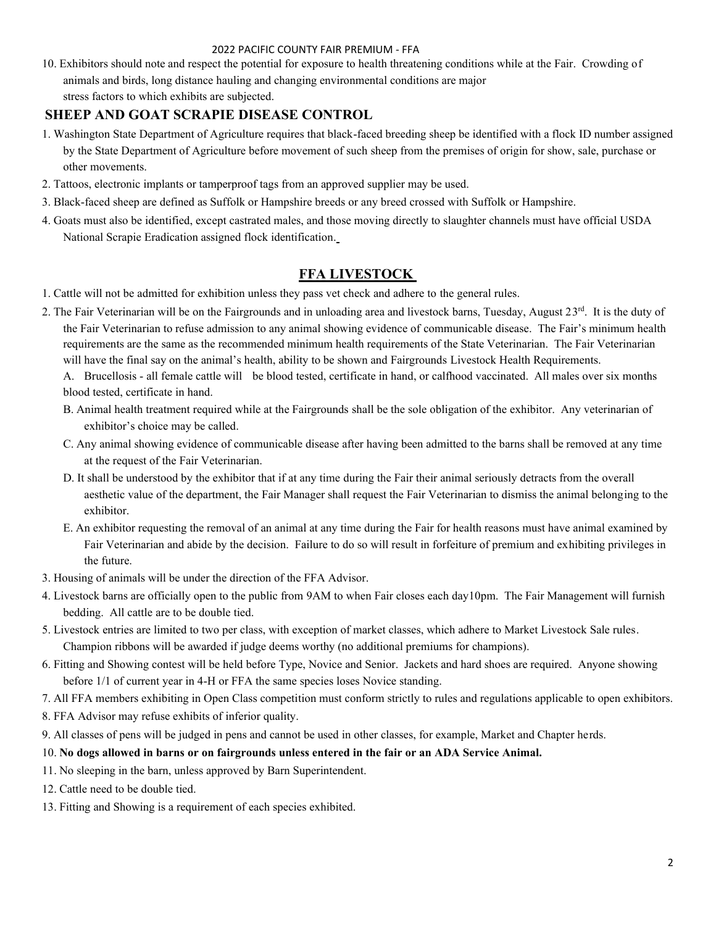10. Exhibitors should note and respect the potential for exposure to health threatening conditions while at the Fair. Crowding of animals and birds, long distance hauling and changing environmental conditions are major stress factors to which exhibits are subjected.

## **SHEEP AND GOAT SCRAPIE DISEASE CONTROL**

- 1. Washington State Department of Agriculture requires that black-faced breeding sheep be identified with a flock ID number assigned by the State Department of Agriculture before movement of such sheep from the premises of origin for show, sale, purchase or other movements.
- 2. Tattoos, electronic implants or tamperproof tags from an approved supplier may be used.
- 3. Black-faced sheep are defined as Suffolk or Hampshire breeds or any breed crossed with Suffolk or Hampshire.
- 4. Goats must also be identified, except castrated males, and those moving directly to slaughter channels must have official USDA National Scrapie Eradication assigned flock identification.

## **FFA LIVESTOCK**

- 1. Cattle will not be admitted for exhibition unless they pass vet check and adhere to the general rules.
- 2. The Fair Veterinarian will be on the Fairgrounds and in unloading area and livestock barns, Tuesday, August  $23<sup>rd</sup>$ . It is the duty of the Fair Veterinarian to refuse admission to any animal showing evidence of communicable disease. The Fair's minimum health requirements are the same as the recommended minimum health requirements of the State Veterinarian. The Fair Veterinarian will have the final say on the animal's health, ability to be shown and Fairgrounds Livestock Health Requirements.

A. Brucellosis - all female cattle will be blood tested, certificate in hand, or calfhood vaccinated. All males over six months blood tested, certificate in hand.

- B. Animal health treatment required while at the Fairgrounds shall be the sole obligation of the exhibitor. Any veterinarian of exhibitor's choice may be called.
- C. Any animal showing evidence of communicable disease after having been admitted to the barns shall be removed at any time at the request of the Fair Veterinarian.
- D. It shall be understood by the exhibitor that if at any time during the Fair their animal seriously detracts from the overall aesthetic value of the department, the Fair Manager shall request the Fair Veterinarian to dismiss the animal belonging to the exhibitor.
- E. An exhibitor requesting the removal of an animal at any time during the Fair for health reasons must have animal examined by Fair Veterinarian and abide by the decision. Failure to do so will result in forfeiture of premium and exhibiting privileges in the future.
- 3. Housing of animals will be under the direction of the FFA Advisor.
- 4. Livestock barns are officially open to the public from 9AM to when Fair closes each day10pm. The Fair Management will furnish bedding. All cattle are to be double tied.
- 5. Livestock entries are limited to two per class, with exception of market classes, which adhere to Market Livestock Sale rules. Champion ribbons will be awarded if judge deems worthy (no additional premiums for champions).
- 6. Fitting and Showing contest will be held before Type, Novice and Senior. Jackets and hard shoes are required. Anyone showing before 1/1 of current year in 4-H or FFA the same species loses Novice standing.
- 7. All FFA members exhibiting in Open Class competition must conform strictly to rules and regulations applicable to open exhibitors.
- 8. FFA Advisor may refuse exhibits of inferior quality.
- 9. All classes of pens will be judged in pens and cannot be used in other classes, for example, Market and Chapter herds.

## 10. **No dogs allowed in barns or on fairgrounds unless entered in the fair or an ADA Service Animal.**

- 11. No sleeping in the barn, unless approved by Barn Superintendent.
- 12. Cattle need to be double tied.
- 13. Fitting and Showing is a requirement of each species exhibited.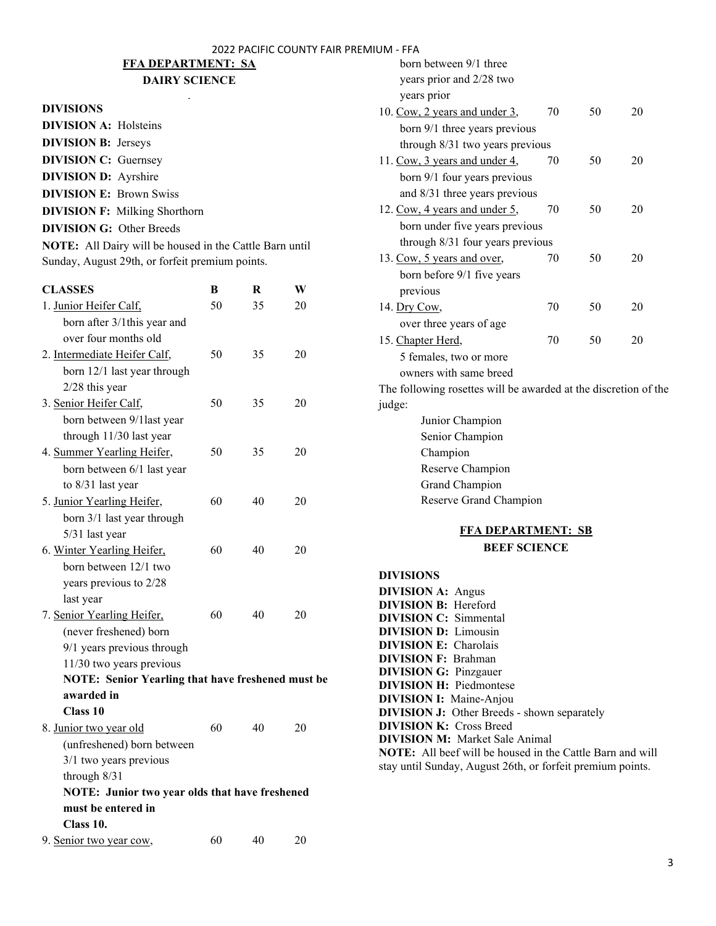## **FFA DEPARTMENT: SA**

## **DAIRY SCIENCE**

## **DIVISIONS**

| <b>DIVISION A: Holsteins</b>    |                                      |
|---------------------------------|--------------------------------------|
| <b>DIVISION B: Jerseys</b>      |                                      |
| <b>DIVISION C:</b> Guernsey     |                                      |
| <b>DIVISION D:</b> Ayrshire     |                                      |
| <b>DIVISION E: Brown Swiss</b>  |                                      |
|                                 | <b>DIVISION F: Milking Shorthorn</b> |
| <b>DIVISION G: Other Breeds</b> |                                      |

**NOTE:** All Dairy will be housed in the Cattle Barn until Sunday, August 29th, or forfeit premium points.

| <b>CLASSES</b>                                           | B  | R  | W  |  |
|----------------------------------------------------------|----|----|----|--|
| 1. Junior Heifer Calf,                                   | 50 | 35 | 20 |  |
| born after 3/1this year and                              |    |    |    |  |
| over four months old                                     |    |    |    |  |
| 2. Intermediate Heifer Calf,                             | 50 | 35 | 20 |  |
| born 12/1 last year through                              |    |    |    |  |
| 2/28 this year                                           |    |    |    |  |
| 3. Senior Heifer Calf,                                   | 50 | 35 | 20 |  |
| born between 9/1 last year                               |    |    |    |  |
| through 11/30 last year                                  |    |    |    |  |
| 4. Summer Yearling Heifer,                               | 50 | 35 | 20 |  |
| born between 6/1 last year                               |    |    |    |  |
| to 8/31 last year                                        |    |    |    |  |
| 5. Junior Yearling Heifer,                               | 60 | 40 | 20 |  |
| born 3/1 last year through                               |    |    |    |  |
| 5/31 last year                                           |    |    |    |  |
| 6. Winter Yearling Heifer,                               | 60 | 40 | 20 |  |
| born between 12/1 two                                    |    |    |    |  |
| years previous to 2/28                                   |    |    |    |  |
| last year                                                |    |    |    |  |
| 7. Senior Yearling Heifer,                               | 60 | 40 | 20 |  |
| (never freshened) born                                   |    |    |    |  |
| 9/1 years previous through                               |    |    |    |  |
| 11/30 two years previous                                 |    |    |    |  |
| <b>NOTE: Senior Yearling that have freshened must be</b> |    |    |    |  |
| awarded in                                               |    |    |    |  |
| <b>Class 10</b>                                          |    |    |    |  |
| 8. Junior two year old                                   | 60 | 40 | 20 |  |
| (unfreshened) born between                               |    |    |    |  |
| 3/1 two years previous                                   |    |    |    |  |
| through $8/31$                                           |    |    |    |  |
| NOTE: Junior two year olds that have freshened           |    |    |    |  |
| must be entered in                                       |    |    |    |  |
| Class 10.                                                |    |    |    |  |
| 9. Senior two year cow,                                  | 60 | 40 | 20 |  |

| born between 9/1 three                                          |    |    |    |  |
|-----------------------------------------------------------------|----|----|----|--|
| years prior and 2/28 two                                        |    |    |    |  |
| years prior                                                     |    |    |    |  |
| 10. Cow, 2 years and under 3,                                   | 70 | 50 | 20 |  |
| born 9/1 three years previous                                   |    |    |    |  |
| through 8/31 two years previous                                 |    |    |    |  |
| 11. Cow, 3 years and under 4,                                   | 70 | 50 | 20 |  |
| born 9/1 four years previous                                    |    |    |    |  |
| and 8/31 three years previous                                   |    |    |    |  |
| 12. Cow, 4 years and under 5,                                   | 70 | 50 | 20 |  |
| born under five years previous                                  |    |    |    |  |
| through 8/31 four years previous                                |    |    |    |  |
| 13. Cow, 5 years and over,                                      | 70 | 50 | 20 |  |
| born before 9/1 five years                                      |    |    |    |  |
| previous                                                        |    |    |    |  |
| 14. Dry Cow,                                                    | 70 | 50 | 20 |  |
| over three years of age                                         |    |    |    |  |
| 15. Chapter Herd,                                               | 70 | 50 | 20 |  |
| 5 females, two or more                                          |    |    |    |  |
| owners with same breed                                          |    |    |    |  |
| The following rosettes will be awarded at the discretion of the |    |    |    |  |
| judge:                                                          |    |    |    |  |
| Junior Champion                                                 |    |    |    |  |
| Senior Champion                                                 |    |    |    |  |
| Champion                                                        |    |    |    |  |
| Reserve Champion                                                |    |    |    |  |
| Grand Champion                                                  |    |    |    |  |
| Reserve Grand Champion                                          |    |    |    |  |
| <b>FFA DEPARTMENT: SB</b>                                       |    |    |    |  |
| <b>BEEF SCIENCE</b>                                             |    |    |    |  |
|                                                                 |    |    |    |  |
| <b>DIVISIONS</b>                                                |    |    |    |  |
| <b>DIVISION A: Angus</b><br><b>DIVISION B:</b> Hereford         |    |    |    |  |
| <b>DIVISION C:</b> Simmental                                    |    |    |    |  |
| <b>DIVISION D:</b> Limousin                                     |    |    |    |  |
| <b>DIVISION E:</b> Charolais                                    |    |    |    |  |
| <b>DIVISION F:</b><br>Brahman                                   |    |    |    |  |

**DIVISION G:** Pinzgauer **DIVISION H:** Piedmontese **DIVISION I:** Maine-Anjou

**DIVISION K:** Cross Breed

**DIVISION M:** Market Sale Animal

**DIVISION J:** Other Breeds - shown separately

**NOTE:** All beef will be housed in the Cattle Barn and will stay until Sunday, August 26th, or forfeit premium points.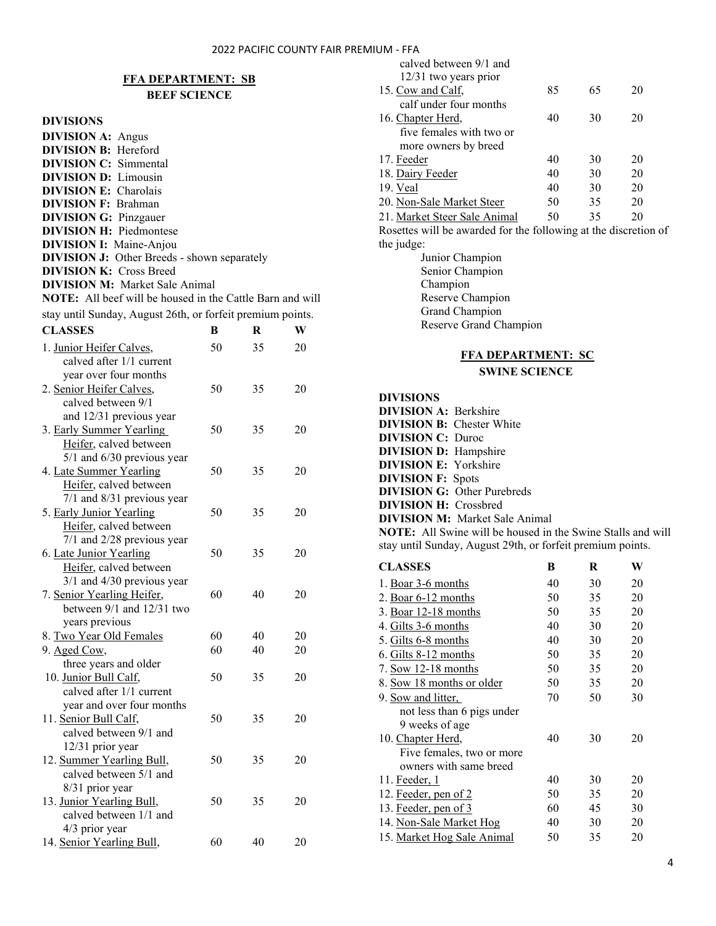## **FFA DEPARTMENT: SB BEEF SCIENCE**

#### **DIVISIONS**

| <b>DIVISION A: Angus</b>                                         |
|------------------------------------------------------------------|
| <b>DIVISION B:</b> Hereford                                      |
| <b>DIVISION C:</b> Simmental                                     |
| <b>DIVISION D:</b> Limousin                                      |
| <b>DIVISION E:</b> Charolais                                     |
| <b>DIVISION F: Brahman</b>                                       |
| <b>DIVISION G: Pinzgauer</b>                                     |
| <b>DIVISION H: Piedmontese</b>                                   |
| <b>DIVISION I:</b> Maine-Anjou                                   |
| <b>DIVISION J:</b> Other Breeds - shown separately               |
| <b>DIVISION K: Cross Breed</b>                                   |
| <b>DIVISION M:</b> Market Sale Animal                            |
| <b>NOTE:</b> All beef will be housed in the Cattle Barn and will |
| stay until Sunday, August 26th, or forfeit premium points.       |

| <b>CLASSES</b>                                       | B  | R  | W  |
|------------------------------------------------------|----|----|----|
| 1. Junior Heifer Calves,<br>calved after 1/1 current | 50 | 35 | 20 |
| year over four months                                |    |    |    |
| 2. Senior Heifer Calves,                             | 50 | 35 | 20 |
| calved between 9/1                                   |    |    |    |
| and 12/31 previous year                              |    |    |    |
| 3. Early Summer Yearling                             | 50 | 35 | 20 |
| Heifer, calved between                               |    |    |    |
| 5/1 and 6/30 previous year                           |    |    |    |
| 4. Late Summer Yearling                              | 50 | 35 | 20 |
| Heifer, calved between                               |    |    |    |
| 7/1 and 8/31 previous year                           |    |    |    |
| 5. Early Junior Yearling                             | 50 | 35 | 20 |
| Heifer, calved between                               |    |    |    |
| 7/1 and 2/28 previous year                           |    |    |    |
| 6. Late Junior Yearling                              | 50 | 35 | 20 |
| Heifer, calved between                               |    |    |    |
| $3/1$ and $4/30$ previous year                       |    |    |    |
| 7. Senior Yearling Heifer,                           | 60 | 40 | 20 |
| between 9/1 and 12/31 two                            |    |    |    |
| years previous                                       |    |    |    |
| 8. Two Year Old Females                              | 60 | 40 | 20 |
| 9. Aged Cow,                                         | 60 | 40 | 20 |
| three years and older                                |    |    |    |
| 10. Junior Bull Calf,                                | 50 | 35 | 20 |
| calved after 1/1 current                             |    |    |    |
| year and over four months                            |    |    |    |
| 11. Senior Bull Calf,                                | 50 | 35 | 20 |
| calved between 9/1 and                               |    |    |    |
| 12/31 prior year                                     |    |    |    |
| 12. Summer Yearling Bull,                            | 50 | 35 | 20 |
| calved between 5/1 and                               |    |    |    |
| 8/31 prior year                                      |    |    |    |
| 13. Junior Yearling Bull,                            | 50 | 35 | 20 |
| calved between 1/1 and                               |    |    |    |
| 4/3 prior year                                       |    |    |    |
| 14. Senior Yearling Bull,                            | 60 | 40 | 20 |

| calved between 9/1 and                                          |    |    |    |  |
|-----------------------------------------------------------------|----|----|----|--|
| 12/31 two years prior                                           |    |    |    |  |
| 15. Cow and Calf,                                               | 85 | 65 | 20 |  |
| calf under four months                                          |    |    |    |  |
| 16. Chapter Herd,                                               | 40 | 30 | 20 |  |
| five females with two or                                        |    |    |    |  |
| more owners by breed                                            |    |    |    |  |
| 17. Feeder                                                      | 40 | 30 | 20 |  |
| 18. Dairy Feeder                                                | 40 | 30 | 20 |  |
| 19. Veal                                                        | 40 | 30 | 20 |  |
| 20. Non-Sale Market Steer                                       | 50 | 35 | 20 |  |
| 21. Market Steer Sale Animal                                    | 50 | 35 | 20 |  |
| Rosettes will be awarded for the following at the discretion of |    |    |    |  |
| the judge:                                                      |    |    |    |  |
| Junior Champion                                                 |    |    |    |  |

Senior Champion Champion Reserve Champion Grand Champion Reserve Grand Champion

## **FFA DEPARTMENT: SC SWINE SCIENCE**

#### **DIVISIONS**

| <b>DIVISION A: Berkshire</b>     |                                                                    |
|----------------------------------|--------------------------------------------------------------------|
| <b>DIVISION B:</b> Chester White |                                                                    |
| <b>DIVISION C: Duroc</b>         |                                                                    |
| <b>DIVISION D:</b> Hampshire     |                                                                    |
| <b>DIVISION E:</b> Yorkshire     |                                                                    |
| <b>DIVISION F:</b> Spots         |                                                                    |
|                                  | <b>DIVISION G:</b> Other Purebreds                                 |
| <b>DIVISION H:</b> Crossbred     |                                                                    |
|                                  | <b>DIVISION M:</b> Market Sale Animal                              |
|                                  | <b>NOTE:</b> All Swine will be housed in the Swine Stalls and will |
|                                  | stay until Sunday, August 29th, or forfeit premium points.         |

| <b>CLASSES</b>                                                                                                           | B  | R  | W  |
|--------------------------------------------------------------------------------------------------------------------------|----|----|----|
| 1. Boar 3-6 months                                                                                                       | 40 | 30 | 20 |
| 2. <u>Boar 6-12 months</u>                                                                                               | 50 | 35 | 20 |
| 3. Boar 12-18 months                                                                                                     | 50 | 35 | 20 |
| 4. Gilts 3-6 months                                                                                                      | 40 | 30 | 20 |
| 5. Gilts 6-8 months                                                                                                      | 40 | 30 | 20 |
| 6. <u>Gilts 8-12 months</u>                                                                                              | 50 | 35 | 20 |
| 7. Sow 12-18 months                                                                                                      | 50 | 35 | 20 |
| 8. Sow 18 months or older                                                                                                | 50 | 35 | 20 |
| 9. <u>Sow and litter,</u>                                                                                                | 70 | 50 | 30 |
| not less than 6 pigs under<br>9 weeks of age<br>10. Chapter Herd,<br>Five females, two or more<br>owners with same breed | 40 | 30 | 20 |
| 11. Feeder, 1                                                                                                            | 40 | 30 | 20 |
| 12. Feeder, pen of 2                                                                                                     | 50 | 35 | 20 |
| 13. Feeder, pen of 3                                                                                                     | 60 | 45 | 30 |
| 14. Non-Sale Market Hog                                                                                                  | 40 | 30 | 20 |
| 15. Market Hog Sale Animal                                                                                               | 50 | 35 | 20 |
|                                                                                                                          |    |    |    |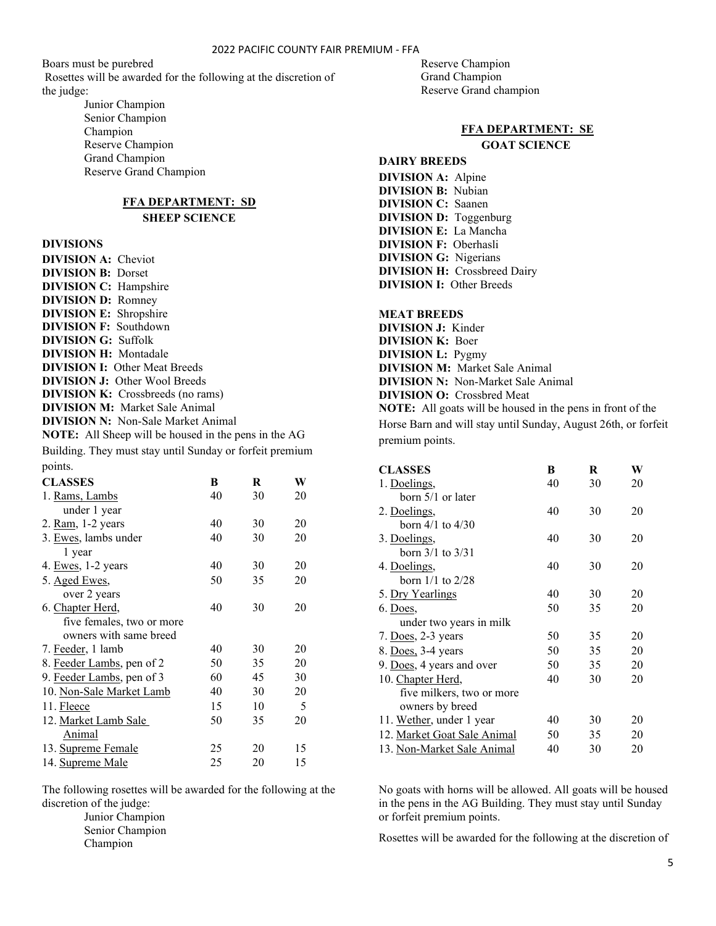Boars must be purebred Rosettes will be awarded for the following at the discretion of the judge:

> Junior Champion Senior Champion Champion Reserve Champion Grand Champion Reserve Grand Champion

## **FFA DEPARTMENT: SD SHEEP SCIENCE**

#### **DIVISIONS**

| <b>DIVISION A:</b> Cheviot                                  |
|-------------------------------------------------------------|
| <b>DIVISION B: Dorset</b>                                   |
| <b>DIVISION C:</b> Hampshire                                |
| <b>DIVISION D: Romney</b>                                   |
| <b>DIVISION E:</b> Shropshire                               |
| <b>DIVISION F: Southdown</b>                                |
| <b>DIVISION G: Suffolk</b>                                  |
| <b>DIVISION H:</b> Montadale                                |
| <b>DIVISION I:</b> Other Meat Breeds                        |
| <b>DIVISION J:</b> Other Wool Breeds                        |
| <b>DIVISION K:</b> Crossbreeds (no rams)                    |
| <b>DIVISION M:</b> Market Sale Animal                       |
| <b>DIVISION N:</b> Non-Sale Market Animal                   |
| <b>NOTE:</b> All Sheep will be housed in the pens in the AG |
| Building. They must stay until Sunday or forfeit premium    |
| points.                                                     |

| POILLED.                  |    |    |    |
|---------------------------|----|----|----|
| <b>CLASSES</b>            | B  | R  | W  |
| 1. Rams, Lambs            | 40 | 30 | 20 |
| under 1 year              |    |    |    |
| 2. Ram, 1-2 years         | 40 | 30 | 20 |
| 3. Ewes, lambs under      | 40 | 30 | 20 |
| 1 year                    |    |    |    |
| 4. Ewes, 1-2 years        | 40 | 30 | 20 |
| 5. Aged Ewes,             | 50 | 35 | 20 |
| over 2 years              |    |    |    |
| 6. Chapter Herd,          | 40 | 30 | 20 |
| five females, two or more |    |    |    |
| owners with same breed    |    |    |    |
| 7. Feeder, 1 lamb         | 40 | 30 | 20 |
| 8. Feeder Lambs, pen of 2 | 50 | 35 | 20 |
| 9. Feeder Lambs, pen of 3 | 60 | 45 | 30 |
| 10. Non-Sale Market Lamb  | 40 | 30 | 20 |
| 11. Fleece                | 15 | 10 | 5  |
| 12. Market Lamb Sale      | 50 | 35 | 20 |
| Animal                    |    |    |    |
| 13. Supreme Female        | 25 | 20 | 15 |
| 14. Supreme Male          | 25 | 20 | 15 |

The following rosettes will be awarded for the following at the discretion of the judge:

> Junior Champion Senior Champion Champion

Reserve Champion Grand Champion Reserve Grand champion

## **FFA DEPARTMENT: SE**

**GOAT SCIENCE**

## **DAIRY BREEDS**

**DIVISION A:** Alpine **DIVISION B:** Nubian **DIVISION C:** Saanen **DIVISION D:** Toggenburg **DIVISION E:** La Mancha **DIVISION F:** Oberhasli **DIVISION G:** Nigerians **DIVISION H:** Crossbreed Dairy **DIVISION I:** Other Breeds

## **MEAT BREEDS**

**DIVISION J:** Kinder **DIVISION K:** Boer **DIVISION L:** Pygmy **DIVISION M:** Market Sale Animal **DIVISION N:** Non-Market Sale Animal **DIVISION O:** Crossbred Meat **NOTE:** All goats will be housed in the pens in front of the

Horse Barn and will stay until Sunday, August 26th, or forfeit premium points.

| <b>CLASSES</b>              | B  | R  | W  |
|-----------------------------|----|----|----|
| 1. Doelings,                | 40 | 30 | 20 |
| born 5/1 or later           |    |    |    |
| 2. Doelings,                | 40 | 30 | 20 |
| horn $4/1$ to $4/30$        |    |    |    |
| 3. Doelings,                | 40 | 30 | 20 |
| born $3/1$ to $3/31$        |    |    |    |
| 4. Doelings,                | 40 | 30 | 20 |
| born $1/1$ to $2/28$        |    |    |    |
| 5. Dry Yearlings            | 40 | 30 | 20 |
| 6. Does,                    | 50 | 35 | 20 |
| under two years in milk     |    |    |    |
| 7. Does, 2-3 years          | 50 | 35 | 20 |
| 8. Does, 3-4 years          | 50 | 35 | 20 |
| 9. Does, 4 years and over   | 50 | 35 | 20 |
| 10. Chapter Herd,           | 40 | 30 | 20 |
| five milkers, two or more   |    |    |    |
| owners by breed             |    |    |    |
| 11. Wether, under 1 year    | 40 | 30 | 20 |
| 12. Market Goat Sale Animal | 50 | 35 | 20 |
| 13. Non-Market Sale Animal  | 40 | 30 | 20 |

No goats with horns will be allowed. All goats will be housed in the pens in the AG Building. They must stay until Sunday or forfeit premium points.

Rosettes will be awarded for the following at the discretion of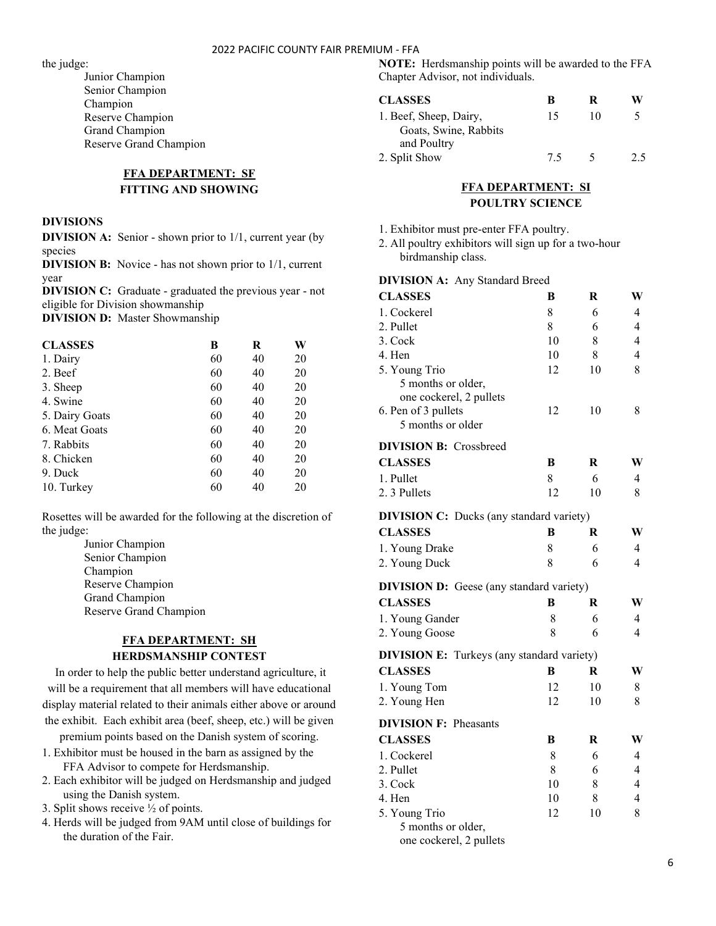the judge:

Junior Champion Senior Champion Champion Reserve Champion Grand Champion Reserve Grand Champion

## **FFA DEPARTMENT: SF FITTING AND SHOWING**

#### **DIVISIONS**

**DIVISION A:** Senior - shown prior to 1/1, current year (by species

**DIVISION B:** Novice - has not shown prior to 1/1, current year

**DIVISION C:** Graduate - graduated the previous year - not eligible for Division showmanship

**DIVISION D:** Master Showmanship

| <b>CLASSES</b> | в  | R  | W  |
|----------------|----|----|----|
| 1. Dairy       | 60 | 40 | 20 |
| 2. Beef        | 60 | 40 | 20 |
| 3. Sheep       | 60 | 40 | 20 |
| 4. Swine       | 60 | 40 | 20 |
| 5. Dairy Goats | 60 | 40 | 20 |
| 6. Meat Goats  | 60 | 40 | 20 |
| 7. Rabbits     | 60 | 40 | 20 |
| 8. Chicken     | 60 | 40 | 20 |
| 9. Duck        | 60 | 40 | 20 |
| 10. Turkey     | 60 | 40 | 20 |

Rosettes will be awarded for the following at the discretion of the judge:

> Junior Champion Senior Champion Champion Reserve Champion Grand Champion Reserve Grand Champion

## **FFA DEPARTMENT: SH HERDSMANSHIP CONTEST**

In order to help the public better understand agriculture, it will be a requirement that all members will have educational display material related to their animals either above or around the exhibit. Each exhibit area (beef, sheep, etc.) will be given

premium points based on the Danish system of scoring.

- 1. Exhibitor must be housed in the barn as assigned by the FFA Advisor to compete for Herdsmanship.
- 2. Each exhibitor will be judged on Herdsmanship and judged using the Danish system.
- 3. Split shows receive ½ of points.
- 4. Herds will be judged from 9AM until close of buildings for the duration of the Fair.

**NOTE:** Herdsmanship points will be awarded to the FFA Chapter Advisor, not individuals.

| <b>CLASSES</b>         | R  | ĸ  | W   |
|------------------------|----|----|-----|
| 1. Beef, Sheep, Dairy, | 15 | 10 |     |
| Goats, Swine, Rabbits  |    |    |     |
| and Poultry            |    |    |     |
| 2. Split Show          | 75 |    | ን ና |

## **FFA DEPARTMENT: SI POULTRY SCIENCE**

- 1. Exhibitor must pre-enter FFA poultry.
- 2. All poultry exhibitors will sign up for a two-hour birdmanship class.

#### **DIVISION A:** Any Standard Breed

| <b>CLASSES</b>                                                       | В  | R  | W                       |
|----------------------------------------------------------------------|----|----|-------------------------|
| 1. Cockerel                                                          | 8  | 6  | 4                       |
| 2. Pullet                                                            | 8  | 6  | $\overline{4}$          |
| 3. Cock                                                              | 10 | 8  | $\overline{4}$          |
| 4. Hen                                                               | 10 | 8  | $\overline{\mathbf{4}}$ |
| 5. Young Trio                                                        | 12 | 10 | 8                       |
| 5 months or older,<br>one cockerel, 2 pullets<br>6. Pen of 3 pullets | 12 | 10 | 8                       |
| 5 months or older                                                    |    |    |                         |
| <b>DIVISION B:</b> Crossbreed                                        |    |    |                         |
| <b>CLASSES</b>                                                       | B  | R  | W                       |
| 1. Pullet                                                            | 8  | 6  | 4                       |
| 2.3 Pullets                                                          | 12 | 10 | 8                       |
| <b>DIVISION C:</b> Ducks (any standard variety)                      |    |    |                         |
| <b>CLASSES</b>                                                       | В  | R  | W                       |
| 1. Young Drake                                                       | 8  | 6  | 4                       |
| 2. Young Duck                                                        | 8  | 6  | $\overline{4}$          |
| <b>DIVISION D:</b> Geese (any standard variety)                      |    |    |                         |
| <b>CLASSES</b>                                                       | B  | R  | W                       |
| 1. Young Gander                                                      | 8  | 6  | 4                       |
| 2. Young Goose                                                       | 8  | 6  | $\overline{4}$          |
| <b>DIVISION E:</b> Turkeys (any standard variety)                    |    |    |                         |
| <b>CLASSES</b>                                                       | B  | R  | W                       |
| 1. Young Tom                                                         | 12 | 10 | 8                       |
| 2. Young Hen                                                         | 12 | 10 | 8                       |
| <b>DIVISION F: Pheasants</b>                                         |    |    |                         |
| <b>CLASSES</b>                                                       | В  | R  | W                       |
| 1. Cockerel                                                          | 8  | 6  | 4                       |
| 2. Pullet                                                            | 8  | 6  | 4                       |
| 3. Cock                                                              | 10 | 8  | 4                       |
| 4. Hen                                                               | 10 | 8  | $\overline{4}$          |
| 5. Young Trio                                                        | 12 | 10 | 8                       |
| 5 months or older,                                                   |    |    |                         |
| one cockerel, 2 pullets                                              |    |    |                         |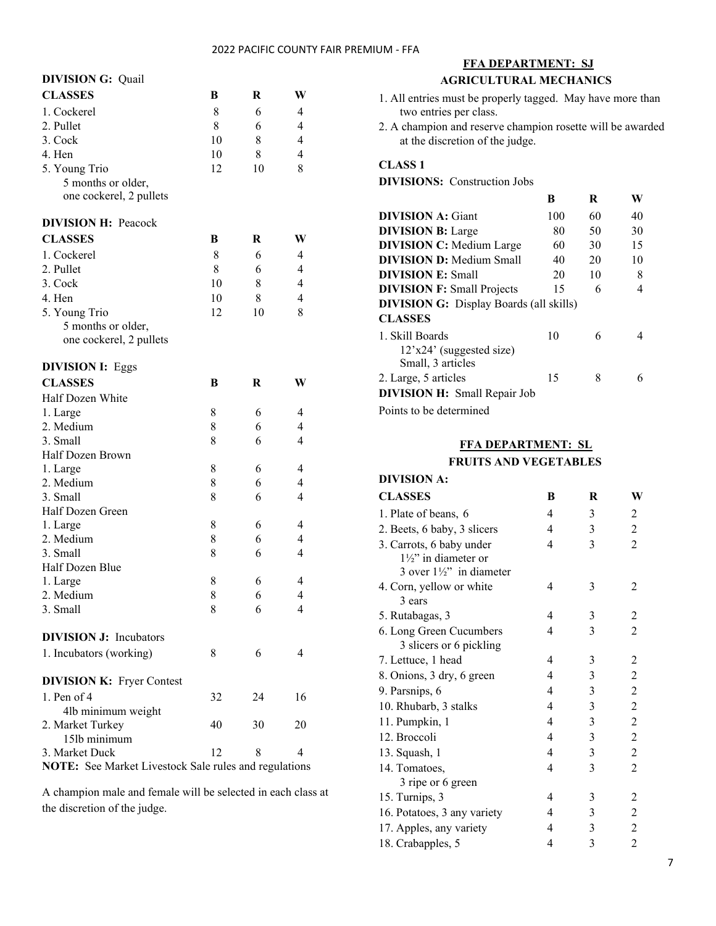| <b>DIVISION G: Quail</b>                              |    |    |                |
|-------------------------------------------------------|----|----|----------------|
| <b>CLASSES</b>                                        | B  | R  | W              |
| 1. Cockerel                                           | 8  | 6  | 4              |
| 2. Pullet                                             | 8  | 6  | $\overline{4}$ |
| 3. Cock                                               | 10 | 8  | $\overline{4}$ |
| 4. Hen                                                | 10 | 8  | $\overline{4}$ |
| 5. Young Trio                                         | 12 | 10 | 8              |
| 5 months or older,                                    |    |    |                |
| one cockerel, 2 pullets                               |    |    |                |
|                                                       |    |    |                |
| <b>DIVISION H: Peacock</b>                            |    |    |                |
| <b>CLASSES</b>                                        | В  | R  | W              |
| 1. Cockerel                                           | 8  | 6  | $\overline{4}$ |
| 2. Pullet                                             | 8  | 6  | $\overline{4}$ |
| 3. Cock                                               | 10 | 8  | $\overline{4}$ |
| 4. Hen                                                | 10 | 8  | $\overline{4}$ |
| 5. Young Trio                                         | 12 | 10 | 8              |
| 5 months or older,                                    |    |    |                |
| one cockerel, 2 pullets                               |    |    |                |
| <b>DIVISION I: Eggs</b>                               |    |    |                |
| <b>CLASSES</b>                                        | B  | R  | W              |
| Half Dozen White                                      |    |    |                |
| 1. Large                                              | 8  | 6  | 4              |
| 2. Medium                                             | 8  | 6  | 4              |
| 3. Small                                              | 8  | 6  | $\overline{4}$ |
| Half Dozen Brown                                      |    |    |                |
| 1. Large                                              | 8  | 6  | 4              |
| 2. Medium                                             | 8  | 6  | 4              |
| 3. Small                                              | 8  | 6  | $\overline{4}$ |
| Half Dozen Green                                      |    |    |                |
| 1. Large                                              | 8  | 6  | 4              |
| 2. Medium                                             | 8  | 6  | $\overline{4}$ |
| 3. Small                                              | 8  | 6  | $\overline{4}$ |
| Half Dozen Blue                                       |    |    |                |
| 1. Large                                              | 8  | 6  | $\overline{4}$ |
| 2. Medium                                             | 8  | 6  | 4              |
| 3. Small                                              | 8  | 6  | 4              |
|                                                       |    |    |                |
| <b>DIVISION J:</b> Incubators                         |    |    |                |
| 1. Incubators (working)                               | 8  | 6  | 4              |
| <b>DIVISION K: Fryer Contest</b>                      |    |    |                |
| 1. Pen of $4$                                         | 32 | 24 | 16             |
| 4lb minimum weight                                    |    |    |                |
| 2. Market Turkey                                      | 40 | 30 | 20             |
| 15lb minimum                                          |    |    |                |
| 3. Market Duck                                        | 12 | 8  | 4              |
| NOTE: See Market Livestock Sale rules and regulations |    |    |                |

A champion male and female will be selected in each class at the discretion of the judge.

| <u>FFA DEPARTMENT: SJ</u>                                                                     |     |    |    |  |
|-----------------------------------------------------------------------------------------------|-----|----|----|--|
| <b>AGRICULTURAL MECHANICS</b>                                                                 |     |    |    |  |
| 1. All entries must be properly tagged. May have more than<br>two entries per class.          |     |    |    |  |
| 2. A champion and reserve champion rosette will be awarded<br>at the discretion of the judge. |     |    |    |  |
| <b>CLASS 1</b>                                                                                |     |    |    |  |
| <b>DIVISIONS:</b> Construction Jobs                                                           |     |    |    |  |
|                                                                                               | B   | R  | W  |  |
| <b>DIVISION A: Giant</b>                                                                      | 100 | 60 | 40 |  |
| <b>DIVISION B:</b> Large                                                                      | 80  | 50 | 30 |  |
| <b>DIVISION C: Medium Large</b>                                                               | 60  | 30 | 15 |  |
| <b>DIVISION D:</b> Medium Small                                                               | 40  | 20 | 10 |  |
| <b>DIVISION E: Small</b>                                                                      | 20  | 10 | 8  |  |
| <b>DIVISION F: Small Projects</b>                                                             | 15  | 6  | 4  |  |
| <b>DIVISION G:</b> Display Boards (all skills)<br><b>CLASSES</b>                              |     |    |    |  |
| 1. Skill Boards<br>$12'x24'$ (suggested size)<br>Small, 3 articles                            | 10  | 6  | 4  |  |
| 2. Large, 5 articles                                                                          | 15  | 8  | 6  |  |
| DIVISION H: Small Repair Job                                                                  |     |    |    |  |
| Points to be determined                                                                       |     |    |    |  |

## **FFA DEPARTMENT: SL FRUITS AND VEGETABLES**

## **DIVISION A:**

| <b>CLASSES</b>                                                                                     | B | R | W              |
|----------------------------------------------------------------------------------------------------|---|---|----------------|
| 1. Plate of beans, 6                                                                               | 4 | 3 | 2              |
| 2. Beets, 6 baby, 3 slicers                                                                        | 4 | 3 | $\overline{2}$ |
| 3. Carrots, 6 baby under<br>$1\frac{1}{2}$ " in diameter or<br>3 over $1\frac{1}{2}$ " in diameter | 4 | 3 | $\mathfrak{D}$ |
| 4. Corn, yellow or white<br>3 ears                                                                 | 4 | 3 | 2              |
| 5. Rutabagas, 3                                                                                    | 4 | 3 | 2              |
| 6. Long Green Cucumbers<br>3 slicers or 6 pickling                                                 | 4 | 3 | $\overline{c}$ |
| 7. Lettuce, 1 head                                                                                 | 4 | 3 | 2              |
| 8. Onions, 3 dry, 6 green                                                                          | 4 | 3 | $\overline{c}$ |
| 9. Parsnips, 6                                                                                     | 4 | 3 | $\overline{2}$ |
| 10. Rhubarb, 3 stalks                                                                              | 4 | 3 | $\overline{c}$ |
| 11. Pumpkin, 1                                                                                     | 4 | 3 | $\overline{c}$ |
| 12. Broccoli                                                                                       | 4 | 3 | $\overline{c}$ |
| 13. Squash, 1                                                                                      | 4 | 3 | $\overline{c}$ |
| 14. Tomatoes,<br>3 ripe or 6 green                                                                 | 4 | 3 | $\overline{2}$ |
| 15. Turnips, 3                                                                                     | 4 | 3 | 2              |
| 16. Potatoes, 3 any variety                                                                        | 4 | 3 | $\overline{c}$ |
| 17. Apples, any variety                                                                            | 4 | 3 | 2              |
| 18. Crabapples, 5                                                                                  | 4 | 3 | 2              |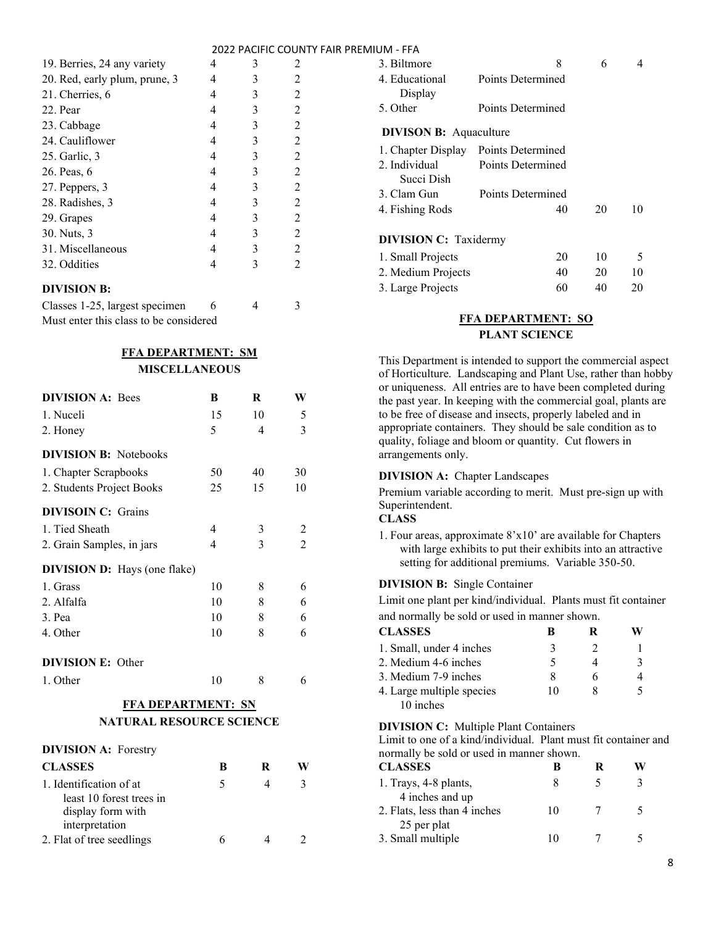| 19. Berries, 24 any variety   |   | 3 | 2              |
|-------------------------------|---|---|----------------|
| 20. Red, early plum, prune, 3 | 4 | 3 | $\mathfrak{D}$ |
| 21. Cherries, 6               | 4 | 3 | $\mathfrak{D}$ |
| 22. Pear                      | 4 | 3 | 2              |
| 23. Cabbage                   | 4 | 3 | 2              |
| 24. Cauliflower               | 4 | 3 | $\mathfrak{D}$ |
| 25. Garlic, 3                 | 4 | 3 | 2              |
| 26. Peas, 6                   | 4 | 3 | 2              |
| 27. Peppers, 3                | 4 | 3 | $\overline{2}$ |
| 28. Radishes, 3               | 4 | 3 | 2              |
| 29. Grapes                    | 4 | 3 | 2              |
| 30. Nuts, 3                   | 4 | 3 | 2              |
| 31. Miscellaneous             | 4 | 3 | 2              |
| 32. Oddities                  | 4 | 3 | $\mathcal{L}$  |
| <b>DIVISION B:</b>            |   |   |                |

| Classes 1-25, largest specimen         |  |  |
|----------------------------------------|--|--|
| Must enter this class to be considered |  |  |

## **FFA DEPARTMENT: SM MISCELLANEOUS**

| <b>DIVISION A: Bees</b>             | B  | R              | W              |
|-------------------------------------|----|----------------|----------------|
| 1. Nuceli                           | 15 | 10             | 5              |
| 2. Honey                            | 5  | 4              | 3              |
| <b>DIVISION B:</b> Notebooks        |    |                |                |
| 1. Chapter Scrapbooks               | 50 | 40             | 30             |
| 2. Students Project Books           | 25 | 15             | 10             |
| <b>DIVISOIN C: Grains</b>           |    |                |                |
| 1. Tied Sheath                      | 4  | 3              | 2              |
| 2. Grain Samples, in jars           | 4  | 3              | $\overline{c}$ |
| <b>DIVISION D:</b> Hays (one flake) |    |                |                |
| 1. Grass                            | 10 | 8              | 6              |
| 2. Alfalfa                          | 10 | 8              | 6              |
| 3. Pea                              | 10 | 8              | 6              |
| 4. Other                            | 10 | 8              | 6              |
| <b>DIVISION E: Other</b>            |    |                |                |
| 1. Other                            | 10 | 8              | 6              |
| <b>FFA DEPARTMENT: SN</b>           |    |                |                |
| <b>NATURAL RESOURCE SCIENCE</b>     |    |                |                |
| <b>DIVISION A: Forestry</b>         |    |                |                |
| <b>CLASSES</b>                      | B  | R              | W              |
| 1. Identification of at             | 5  | $\overline{4}$ | 3              |
| least 10 forest trees in            |    |                |                |
| display form with                   |    |                |                |
| interpretation                      |    |                |                |
| 2. Flat of tree seedlings           | 6  | 4              | 2              |

| 3. Biltmore                   | 8                 | 6  | 4  |
|-------------------------------|-------------------|----|----|
| 4. Educational<br>Display     | Points Determined |    |    |
| 5. Other                      | Points Determined |    |    |
| <b>DIVISON B:</b> Aquaculture |                   |    |    |
| 1. Chapter Display            | Points Determined |    |    |
| 2. Individual                 | Points Determined |    |    |
| Succi Dish                    |                   |    |    |
| 3. Clam Gun                   | Points Determined |    |    |
| 4. Fishing Rods               | 40                | 20 | 10 |
|                               |                   |    |    |
| <b>DIVISION C: Taxidermy</b>  |                   |    |    |
| 1. Small Projects             | 20                | 10 | 5  |
| 2. Medium Projects            | 40                | 20 | 10 |
| 3. Large Projects             | 60                | 40 | 20 |

## **FFA DEPARTMENT: SO PLANT SCIENCE**

This Department is intended to support the commercial aspect of Horticulture. Landscaping and Plant Use, rather than hobby or uniqueness. All entries are to have been completed during the past year. In keeping with the commercial goal, plants are to be free of disease and insects, properly labeled and in appropriate containers. They should be sale condition as to quality, foliage and bloom or quantity. Cut flowers in arrangements only.

## **DIVISION A:** Chapter Landscapes

Premium variable according to merit. Must pre-sign up with Superintendent.

#### **CLASS**

1. Four areas, approximate 8'x10' are available for Chapters with large exhibits to put their exhibits into an attractive setting for additional premiums. Variable 350-50.

## **DIVISION B:** Single Container

Limit one plant per kind/individual. Plants must fit container and normally be sold or used in manner shown.

| <b>CLASSES</b>            | R  | ĸ |  |
|---------------------------|----|---|--|
| 1. Small, under 4 inches  | 3  |   |  |
| 2. Medium 4-6 inches      |    |   |  |
| 3. Medium 7-9 inches      |    |   |  |
| 4. Large multiple species | 10 |   |  |
| 10 inches                 |    |   |  |

## **DIVISION C:** Multiple Plant Containers

Limit to one of a kind/individual. Plant must fit container and normally be sold or used in manner shown.

| <b>CLASSES</b>                                  |    |  |
|-------------------------------------------------|----|--|
| 1. Trays, 4-8 plants,                           |    |  |
| 4 inches and up<br>2. Flats, less than 4 inches | 10 |  |
| 25 per plat                                     |    |  |
| 3. Small multiple                               | 10 |  |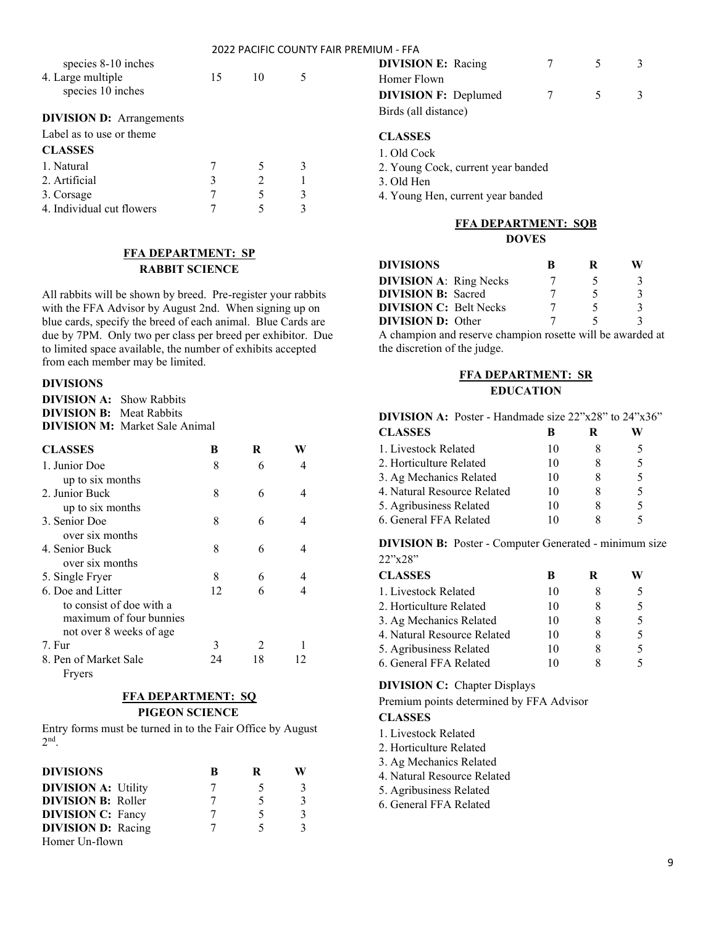|                                 |    |    |   | 2022 PACIFIC COUNTY FAIR PREMIUM - FFA |
|---------------------------------|----|----|---|----------------------------------------|
| species 8-10 inches             |    |    |   | <b>DIVISIO</b>                         |
| 4. Large multiple               | 15 | 10 | 5 | Homer F                                |
| species 10 inches               |    |    |   | <b>DIVISIO</b>                         |
| <b>DIVISION D:</b> Arrangements |    |    |   | Birds (al                              |
| Label as to use or theme        |    |    |   | <b>CLASSI</b>                          |
| <b>CLASSES</b>                  |    |    |   | $1.$ Old C                             |
| 1. Natural                      |    | 5  | 3 | 2. Young                               |
| 2. Artificial                   | 3  | 2  |   | $3.$ Old H                             |
| 3. Corsage                      |    | 5  | 3 | 4. Young                               |
| 4. Individual cut flowers       |    |    |   |                                        |

## **FFA DEPARTMENT: SP RABBIT SCIENCE**

All rabbits will be shown by breed. Pre-register your rabbits with the FFA Advisor by August 2nd. When signing up on blue cards, specify the breed of each animal. Blue Cards are due by 7PM. Only two per class per breed per exhibitor. Due to limited space available, the number of exhibits accepted from each member may be limited.

#### **DIVISIONS**

**DIVISION A:** Show Rabbits **DIVISION B:** Meat Rabbits **DIVISION M:** Market Sale Animal

| <b>CLASSES</b>           | В  | R             |  |
|--------------------------|----|---------------|--|
| 1. Junior Doe            | 8  | 6             |  |
| up to six months         |    |               |  |
| 2. Junior Buck           | 8  | 6             |  |
| up to six months         |    |               |  |
| 3. Senior Doe            | 8  | 6             |  |
| over six months          |    |               |  |
| 4. Senior Buck           | 8  | 6             |  |
| over six months          |    |               |  |
| 5. Single Fryer          | 8  | 6             |  |
| 6. Doe and Litter        | 12 |               |  |
| to consist of doe with a |    |               |  |
| maximum of four bunnies  |    |               |  |
| not over 8 weeks of age  |    |               |  |
| 7. Fur                   | 3  | $\mathcal{L}$ |  |
| 8. Pen of Market Sale    | 24 | 18            |  |
| Fryers                   |    |               |  |

## **FFA DEPARTMENT: SQ PIGEON SCIENCE**

Entry forms must be turned in to the Fair Office by August 2 nd .

| <b>DIVISIONS</b>           | B | R |  |
|----------------------------|---|---|--|
| <b>DIVISION A: Utility</b> |   |   |  |
| <b>DIVISION B: Roller</b>  |   | 5 |  |
| <b>DIVISION C: Fancy</b>   |   | 5 |  |
| <b>DIVISION D:</b> Racing  |   | 5 |  |
| Homer Un-flown             |   |   |  |

| IUIVI - FFA                 |   |        |  |
|-----------------------------|---|--------|--|
| <b>DIVISION E:</b> Racing   | 7 | $-5$   |  |
| Homer Flown                 |   |        |  |
| <b>DIVISION F: Deplumed</b> | 7 | $\sim$ |  |
| Birds (all distance)        |   |        |  |

## **CLASSES**

1. Old Cock

2. Young Cock, current year banded

3. Old Hen

4. Young Hen, current year banded

#### **FFA DEPARTMENT: SQB**

## **DOVES**

| <b>DIVISIONS</b>                                           | R |  |
|------------------------------------------------------------|---|--|
| <b>DIVISION A: Ring Necks</b>                              |   |  |
| <b>DIVISION B:</b> Sacred                                  |   |  |
| <b>DIVISION C: Belt Necks</b>                              |   |  |
| <b>DIVISION D:</b> Other                                   |   |  |
| A champion and reserve champion rosette will be awarded at |   |  |
| the discretion of the judge.                               |   |  |

## **FFA DEPARTMENT: SR EDUCATION**

#### **DIVISION A:** Poster - Handmade size 22"x28" to 24"x36"

| <b>CLASSES</b>              | R  | ĸ |   |
|-----------------------------|----|---|---|
| 1. Livestock Related        | 10 |   |   |
| 2. Horticulture Related     | 10 |   | 5 |
| 3. Ag Mechanics Related     | 10 |   | 5 |
| 4. Natural Resource Related | 10 |   | 5 |
| 5. Agribusiness Related     | 10 |   | 5 |
| 6. General FFA Related      | 10 |   |   |

**DIVISION B:** Poster - Computer Generated - minimum size 22"x28"

| <b>CLASSES</b>              | в    | R | W |
|-----------------------------|------|---|---|
| 1. Livestock Related        | 10   |   | 5 |
| 2. Horticulture Related     | 10   |   | 5 |
| 3. Ag Mechanics Related     | 10   |   | 5 |
| 4. Natural Resource Related | 10   |   | 5 |
| 5. Agribusiness Related     | 10   |   | 5 |
| 6. General FFA Related      | l () |   |   |

#### **DIVISION C:** Chapter Displays

Premium points determined by FFA Advisor

### **CLASSES**

- 1. Livestock Related
- 2. Horticulture Related
- 3. Ag Mechanics Related
- 4. Natural Resource Related
- 5. Agribusiness Related
- 6. General FFA Related